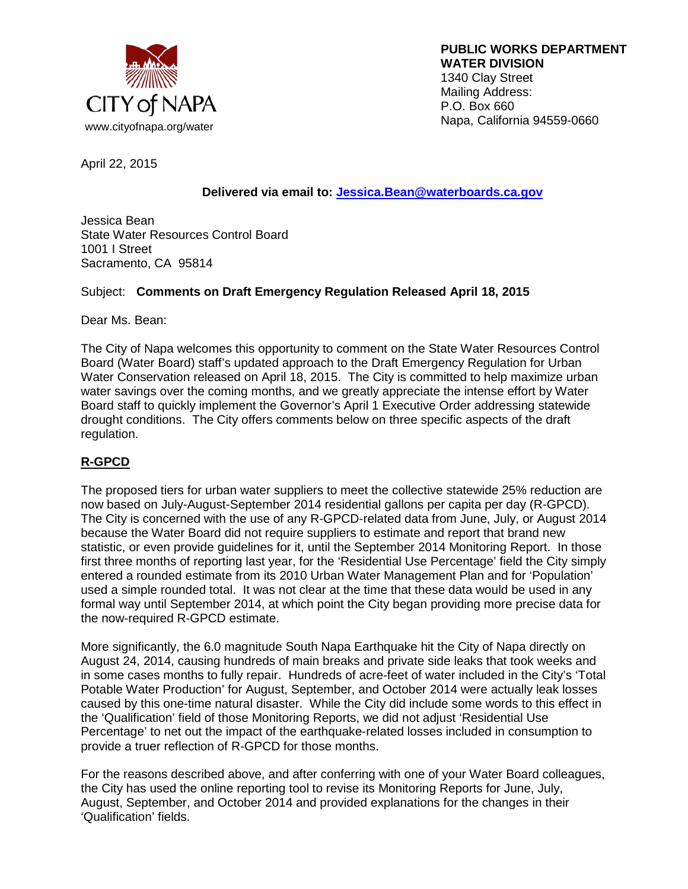

 **PUBLIC WORKS DEPARTMENT WATER DIVISION** 1340 Clay Street Mailing Address: P.O. Box 660

April 22, 2015

# **Delivered via email to: [Jessica.Bean@waterboards.ca.gov](mailto:Jessica.Bean@waterboards.ca.gov)**

Jessica Bean State Water Resources Control Board 1001 I Street Sacramento, CA 95814

## Subject: **Comments on Draft Emergency Regulation Released April 18, 2015**

Dear Ms. Bean:

The City of Napa welcomes this opportunity to comment on the State Water Resources Control Board (Water Board) staff's updated approach to the Draft Emergency Regulation for Urban Water Conservation released on April 18, 2015. The City is committed to help maximize urban water savings over the coming months, and we greatly appreciate the intense effort by Water Board staff to quickly implement the Governor's April 1 Executive Order addressing statewide drought conditions. The City offers comments below on three specific aspects of the draft regulation.

# **R-GPCD**

The proposed tiers for urban water suppliers to meet the collective statewide 25% reduction are now based on July-August-September 2014 residential gallons per capita per day (R-GPCD). The City is concerned with the use of any R-GPCD-related data from June, July, or August 2014 because the Water Board did not require suppliers to estimate and report that brand new statistic, or even provide guidelines for it, until the September 2014 Monitoring Report. In those first three months of reporting last year, for the 'Residential Use Percentage' field the City simply entered a rounded estimate from its 2010 Urban Water Management Plan and for 'Population' used a simple rounded total. It was not clear at the time that these data would be used in any formal way until September 2014, at which point the City began providing more precise data for the now-required R-GPCD estimate.

More significantly, the 6.0 magnitude South Napa Earthquake hit the City of Napa directly on August 24, 2014, causing hundreds of main breaks and private side leaks that took weeks and in some cases months to fully repair. Hundreds of acre-feet of water included in the City's 'Total Potable Water Production' for August, September, and October 2014 were actually leak losses caused by this one-time natural disaster. While the City did include some words to this effect in the 'Qualification' field of those Monitoring Reports, we did not adjust 'Residential Use Percentage' to net out the impact of the earthquake-related losses included in consumption to provide a truer reflection of R-GPCD for those months.

For the reasons described above, and after conferring with one of your Water Board colleagues, the City has used the online reporting tool to revise its Monitoring Reports for June, July, August, September, and October 2014 and provided explanations for the changes in their 'Qualification' fields.